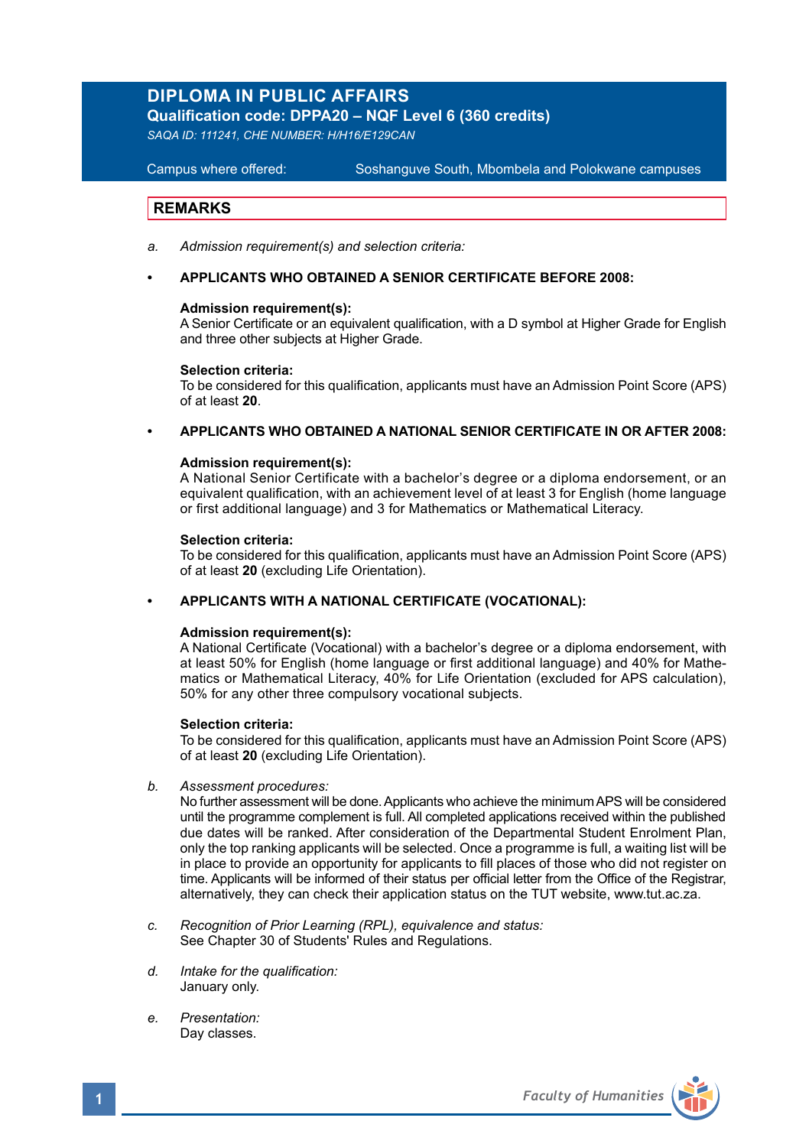# **DIPLOMA IN PUBLIC AFFAIRS**

**Qualification code: DPPA20 – NQF Level 6 (360 credits)**

*SAQA ID: 111241, CHE NUMBER: H/H16/E129CAN* 

**Campus where offered:** 

Soshanguve South, Mbombela and Polokwane campuses

# **REMARKS**

- *a. Admission requirement(s) and selection criteria:*
- **• APPLICANTS WHO OBTAINED A SENIOR CERTIFICATE BEFORE 2008:**

### **Admission requirement(s):**

A Senior Certificate or an equivalent qualification, with a D symbol at Higher Grade for English and three other subjects at Higher Grade.

### **Selection criteria:**

To be considered for this qualification, applicants must have an Admission Point Score (APS) of at least **20**.

# **• APPLICANTS WHO OBTAINED A NATIONAL SENIOR CERTIFICATE IN OR AFTER 2008:**

### **Admission requirement(s):**

A National Senior Certificate with a bachelor's degree or a diploma endorsement, or an equivalent qualification, with an achievement level of at least 3 for English (home language or first additional language) and 3 for Mathematics or Mathematical Literacy.

### **Selection criteria:**

To be considered for this qualification, applicants must have an Admission Point Score (APS) of at least **20** (excluding Life Orientation).

### **• APPLICANTS WITH A NATIONAL CERTIFICATE (VOCATIONAL):**

### **Admission requirement(s):**

A National Certificate (Vocational) with a bachelor's degree or a diploma endorsement, with at least 50% for English (home language or first additional language) and 40% for Mathematics or Mathematical Literacy, 40% for Life Orientation (excluded for APS calculation), 50% for any other three compulsory vocational subjects.

### **Selection criteria:**

To be considered for this qualification, applicants must have an Admission Point Score (APS) of at least **20** (excluding Life Orientation).

*b. Assessment procedures:*

No further assessment will be done. Applicants who achieve the minimum APS will be considered until the programme complement is full. All completed applications received within the published due dates will be ranked. After consideration of the Departmental Student Enrolment Plan, only the top ranking applicants will be selected. Once a programme is full, a waiting list will be in place to provide an opportunity for applicants to fill places of those who did not register on time. Applicants will be informed of their status per official letter from the Office of the Registrar, alternatively, they can check their application status on the TUT website, www.tut.ac.za.

- *c. Recognition of Prior Learning (RPL), equivalence and status:* See Chapter 30 of Students' Rules and Regulations.
- *d. Intake for the qualification:* January only.
- *e. Presentation:* Day classes.

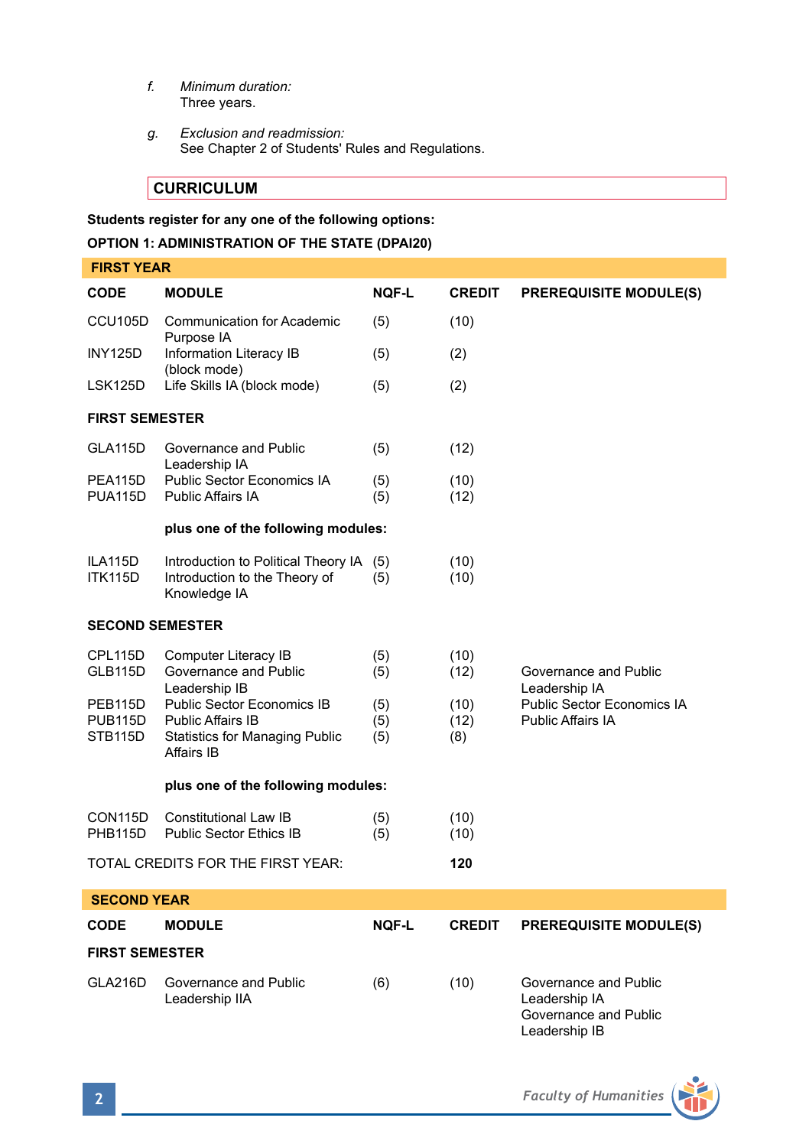- *f. Minimum duration:* Three years.
- *g. Exclusion and readmission:* See Chapter 2 of Students' Rules and Regulations.

**CURRICULUM** 

**Students register for any one of the following options: OPTION 1: ADMINISTRATION OF THE STATE (DPAI20)**

|                                                   | <b>FIRST YEAR</b>                                                                                      |                   |                     |                                                                                  |  |  |
|---------------------------------------------------|--------------------------------------------------------------------------------------------------------|-------------------|---------------------|----------------------------------------------------------------------------------|--|--|
| CODE                                              | <b>MODULE</b>                                                                                          | <b>NOF-L</b>      | <b>CREDIT</b>       | <b>PREREQUISITE MODULE(S)</b>                                                    |  |  |
| CCU <sub>105</sub> D                              | <b>Communication for Academic</b><br>Purpose IA                                                        | (5)               | (10)                |                                                                                  |  |  |
| <b>INY125D</b>                                    | Information Literacy IB<br>(block mode)                                                                | (5)               | (2)                 |                                                                                  |  |  |
| LSK125D                                           | Life Skills IA (block mode)                                                                            | (5)               | (2)                 |                                                                                  |  |  |
| <b>FIRST SEMESTER</b>                             |                                                                                                        |                   |                     |                                                                                  |  |  |
| <b>GLA115D</b>                                    | Governance and Public<br>Leadership IA                                                                 | (5)               | (12)                |                                                                                  |  |  |
| PEA115D<br><b>PUA115D</b>                         | Public Sector Economics IA<br>Public Affairs IA                                                        | (5)<br>(5)        | (10)<br>(12)        |                                                                                  |  |  |
|                                                   | plus one of the following modules:                                                                     |                   |                     |                                                                                  |  |  |
| ILA115D<br><b>ITK115D</b>                         | Introduction to Political Theory IA (5)<br>Introduction to the Theory of<br>Knowledge IA               | (5)               | (10)<br>(10)        |                                                                                  |  |  |
| <b>SECOND SEMESTER</b>                            |                                                                                                        |                   |                     |                                                                                  |  |  |
| CPL115D<br><b>GLB115D</b>                         | Computer Literacy IB<br>Governance and Public<br>Leadership IB                                         | (5)<br>(5)        | (10)<br>(12)        | Governance and Public<br>Leadership IA                                           |  |  |
| PEB <sub>115</sub> D<br><b>PUB115D</b><br>STB115D | Public Sector Economics IB<br>Public Affairs IB<br><b>Statistics for Managing Public</b><br>Affairs IB | (5)<br>(5)<br>(5) | (10)<br>(12)<br>(8) | Public Sector Economics IA<br><b>Public Affairs IA</b>                           |  |  |
|                                                   | plus one of the following modules:                                                                     |                   |                     |                                                                                  |  |  |
| CON115D<br><b>PHB115D</b>                         | Constitutional Law IB<br>Public Sector Ethics IB                                                       | (5)<br>(5)        | (10)<br>(10)        |                                                                                  |  |  |
|                                                   | TOTAL CREDITS FOR THE FIRST YEAR:                                                                      |                   | 120                 |                                                                                  |  |  |
| <b>SECOND YEAR</b>                                |                                                                                                        |                   |                     |                                                                                  |  |  |
| <b>CODE</b>                                       | <b>MODULE</b>                                                                                          | <b>NOF-L</b>      | <b>CREDIT</b>       | <b>PREREQUISITE MODULE(S)</b>                                                    |  |  |
| <b>FIRST SEMESTER</b>                             |                                                                                                        |                   |                     |                                                                                  |  |  |
| GLA216D                                           | Governance and Public<br>Leadership IIA                                                                | (6)               | (10)                | Governance and Public<br>Leadership IA<br>Governance and Public<br>Leadership IB |  |  |

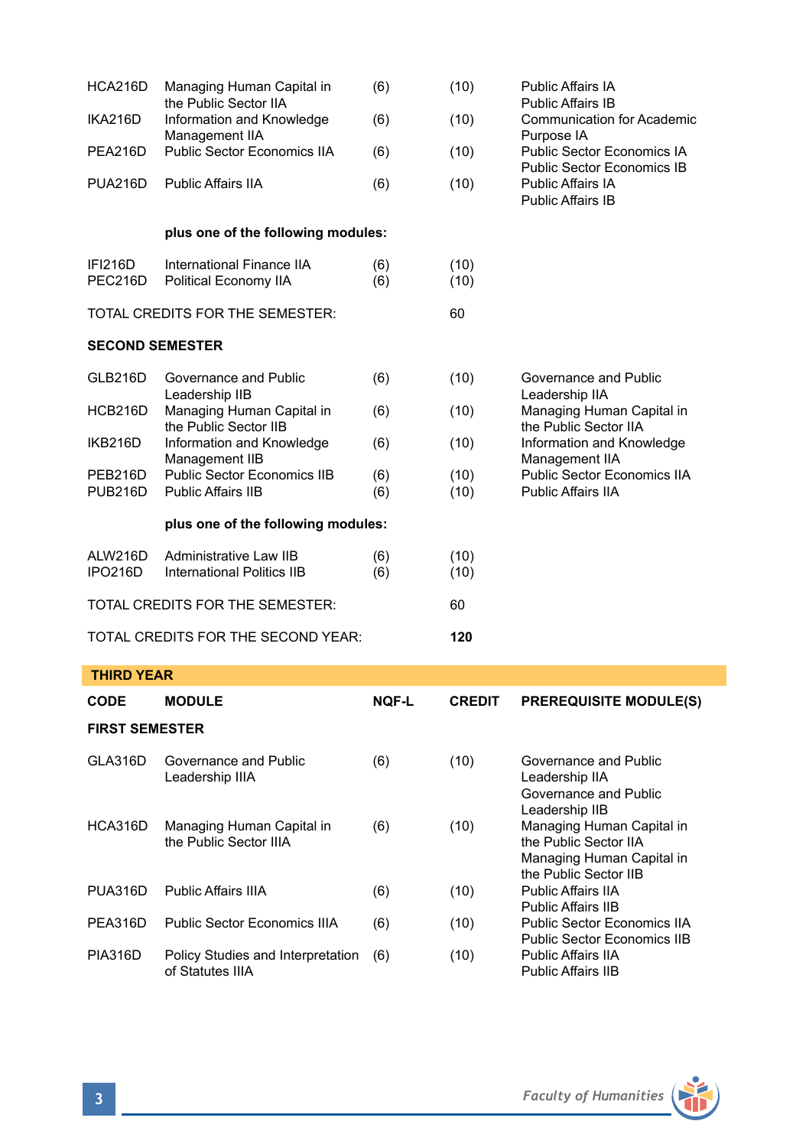| HCA216D                            | Managing Human Capital in<br>the Public Sector IIA   | (6)        | (10)         | <b>Public Affairs IA</b><br>Public Affairs IB            |
|------------------------------------|------------------------------------------------------|------------|--------------|----------------------------------------------------------|
| IKA216D                            | Information and Knowledge<br>Management IIA          | (6)        | (10)         | <b>Communication for Academic</b><br>Purpose IA          |
| PEA216D                            | Public Sector Economics IIA                          | (6)        | (10)         | Public Sector Economics IA<br>Public Sector Economics IB |
| <b>PUA216D</b>                     | <b>Public Affairs IIA</b>                            | (6)        | (10)         | <b>Public Affairs IA</b><br><b>Public Affairs IB</b>     |
|                                    | plus one of the following modules:                   |            |              |                                                          |
| <b>IFI216D</b><br>PEC216D          | International Finance IIA<br>Political Economy IIA   | (6)<br>(6) | (10)<br>(10) |                                                          |
|                                    | TOTAL CREDITS FOR THE SEMESTER:                      |            | 60           |                                                          |
| <b>SECOND SEMESTER</b>             |                                                      |            |              |                                                          |
| GLB216D                            | Governance and Public<br>Leadership IIB              | (6)        | (10)         | Governance and Public<br>Leadership IIA                  |
| HCB216D                            | Managing Human Capital in<br>the Public Sector IIB   | (6)        | (10)         | Managing Human Capital in<br>the Public Sector IIA       |
| IKB216D                            | Information and Knowledge<br>Management IIB          | (6)        | (10)         | Information and Knowledge<br>Management IIA              |
| PEB216D                            | Public Sector Economics IIB                          | (6)        | (10)         | <b>Public Sector Economics IIA</b>                       |
| <b>PUB216D</b>                     | <b>Public Affairs IIB</b>                            | (6)        | (10)         | <b>Public Affairs IIA</b>                                |
|                                    | plus one of the following modules:                   |            |              |                                                          |
| ALW216D<br><b>IPO216D</b>          | Administrative Law IIB<br>International Politics IIB | (6)<br>(6) | (10)<br>(10) |                                                          |
| TOTAL CREDITS FOR THE SEMESTER:    |                                                      |            | 60           |                                                          |
| TOTAL CREDITS FOR THE SECOND YEAR: |                                                      |            | 120          |                                                          |

# **THIRD YEAR**

| <b>CODE</b>           | <b>MODULE</b>                                         | <b>NOF-L</b> | <b>CREDIT</b> | <b>PREREQUISITE MODULE(S)</b>                                                                            |  |  |
|-----------------------|-------------------------------------------------------|--------------|---------------|----------------------------------------------------------------------------------------------------------|--|--|
| <b>FIRST SEMESTER</b> |                                                       |              |               |                                                                                                          |  |  |
| GLA316D               | Governance and Public<br>Leadership IIIA              | (6)          | (10)          | Governance and Public<br>Leadership IIA<br>Governance and Public<br>Leadership IIB                       |  |  |
| HCA316D               | Managing Human Capital in<br>the Public Sector IIIA   | (6)          | (10)          | Managing Human Capital in<br>the Public Sector IIA<br>Managing Human Capital in<br>the Public Sector IIB |  |  |
| PUA316D               | Public Affairs IIIA                                   | (6)          | (10)          | Public Affairs IIA<br>Public Affairs IIB                                                                 |  |  |
| PEA316D               | Public Sector Economics IIIA                          | (6)          | (10)          | Public Sector Economics IIA<br>Public Sector Economics IIB                                               |  |  |
| <b>PIA316D</b>        | Policy Studies and Interpretation<br>of Statutes IIIA | (6)          | (10)          | Public Affairs IIA<br><b>Public Affairs IIB</b>                                                          |  |  |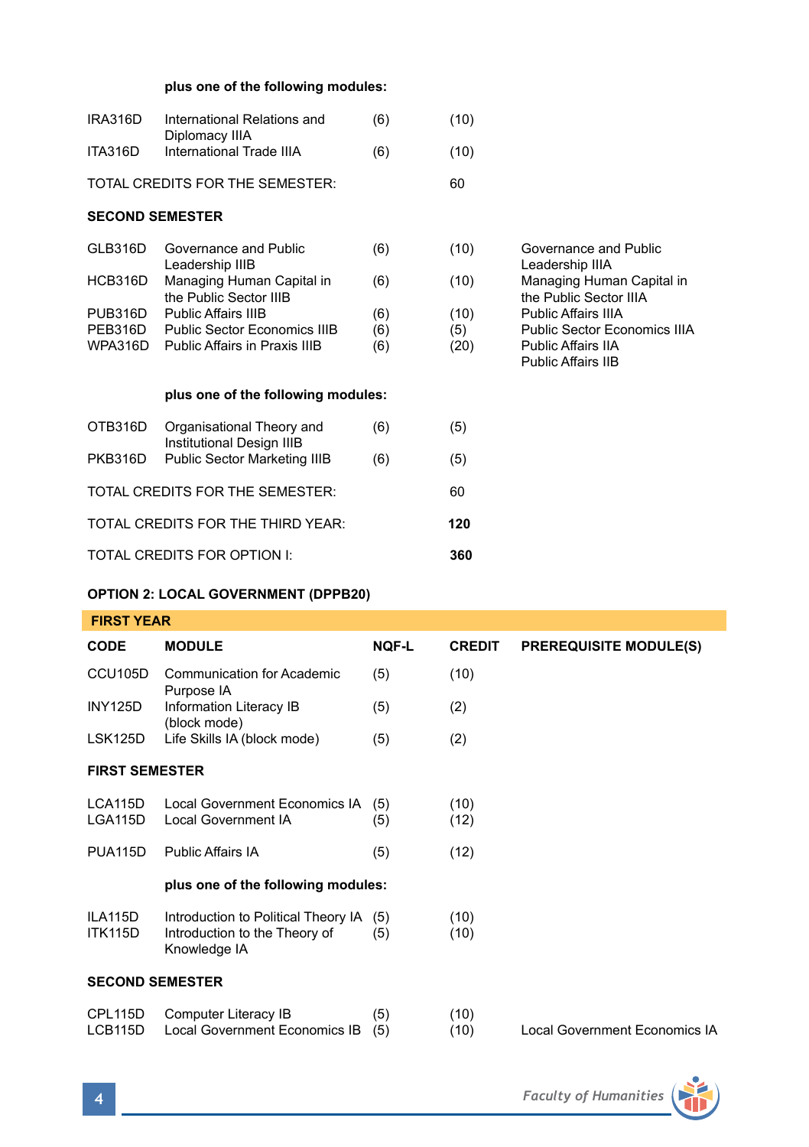## **plus one of the following modules:**

| IRA316D                           | International Relations and<br>Diplomacy IIIA                 | (6)        | (10)        |                                                                                 |
|-----------------------------------|---------------------------------------------------------------|------------|-------------|---------------------------------------------------------------------------------|
| ITA316D                           | International Trade IIIA                                      | (6)        | (10)        |                                                                                 |
|                                   | TOTAL CREDITS FOR THE SEMESTER:                               |            | 60          |                                                                                 |
| <b>SECOND SEMESTER</b>            |                                                               |            |             |                                                                                 |
| GLB316D                           | Governance and Public<br>Leadership IIIB                      | (6)        | (10)        | Governance and Public<br>Leadership IIIA                                        |
| HCB316D                           | Managing Human Capital in<br>the Public Sector IIIB           | (6)        | (10)        | Managing Human Capital in<br>the Public Sector IIIA                             |
| PUB316D                           | <b>Public Affairs IIIB</b>                                    | (6)        | (10)        | Public Affairs IIIA                                                             |
| PEB316D<br>WPA316D                | Public Sector Economics IIIB<br>Public Affairs in Praxis IIIB | (6)<br>(6) | (5)<br>(20) | Public Sector Economics IIIA<br><b>Public Affairs IIA</b><br>Public Affairs IIB |
|                                   | plus one of the following modules:                            |            |             |                                                                                 |
| OTB316D                           | Organisational Theory and<br>Institutional Design IIIB        | (6)        | (5)         |                                                                                 |
| PKB316D                           | Public Sector Marketing IIIB                                  | (6)        | (5)         |                                                                                 |
| TOTAL CREDITS FOR THE SEMESTER:   |                                                               |            | 60          |                                                                                 |
| TOTAL CREDITS FOR THE THIRD YEAR: |                                                               |            | 120         |                                                                                 |
| TOTAL CREDITS FOR OPTION I:       |                                                               |            | 360         |                                                                                 |

## **OPTION 2: LOCAL GOVERNMENT (DPPB20)**

 **FIRST YEAR** 

| .                         |                                                                                          |              |               |                               |  |  |
|---------------------------|------------------------------------------------------------------------------------------|--------------|---------------|-------------------------------|--|--|
| <b>CODE</b>               | <b>MODULE</b>                                                                            | <b>NOF-L</b> | <b>CREDIT</b> | <b>PREREQUISITE MODULE(S)</b> |  |  |
| CCU105D                   | <b>Communication for Academic</b><br>Purpose IA                                          | (5)          | (10)          |                               |  |  |
| <b>INY125D</b>            | Information Literacy IB<br>(block mode)                                                  | (5)          | (2)           |                               |  |  |
| LSK125D                   | Life Skills IA (block mode)                                                              | (5)          | (2)           |                               |  |  |
| <b>FIRST SEMESTER</b>     |                                                                                          |              |               |                               |  |  |
| LCA115D<br>LGA115D        | Local Government Economics IA<br><b>Local Government IA</b>                              | (5)<br>(5)   | (10)<br>(12)  |                               |  |  |
| PUA115D                   | Public Affairs IA                                                                        | (5)          | (12)          |                               |  |  |
|                           | plus one of the following modules:                                                       |              |               |                               |  |  |
| ILA115D<br><b>ITK115D</b> | Introduction to Political Theory IA (5)<br>Introduction to the Theory of<br>Knowledge IA | (5)          | (10)<br>(10)  |                               |  |  |
| <b>SECOND SEMESTER</b>    |                                                                                          |              |               |                               |  |  |
| CPL115D<br>LCB115D        | Computer Literacy IB<br><b>Local Government Economics IB</b>                             | (5)<br>(5)   | (10)<br>(10)  | Local Government Economics IA |  |  |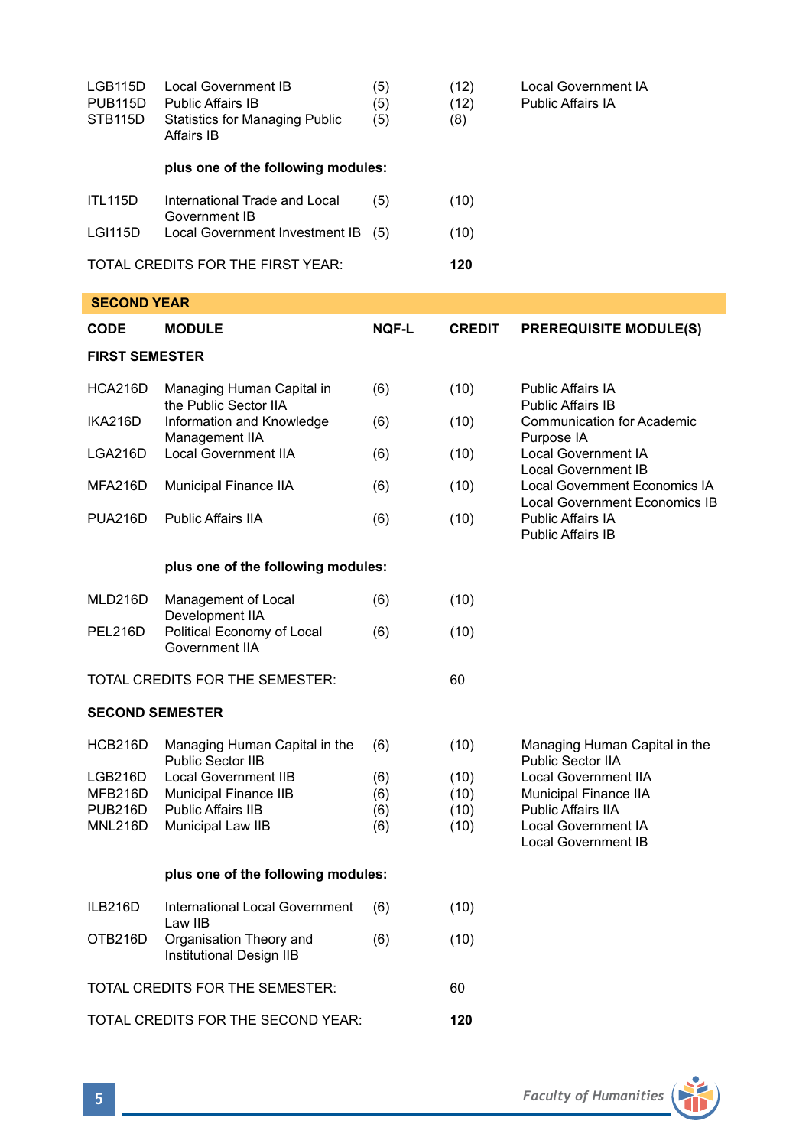| LGB115D<br><b>PUB115D</b><br>STB115D | Local Government IB<br><b>Public Affairs IB</b><br><b>Statistics for Managing Public</b><br>Affairs IB | (5)<br>(5)<br>(5) | (12)<br>(12)<br>(8) | Local Government IA<br><b>Public Affairs IA</b>                |  |
|--------------------------------------|--------------------------------------------------------------------------------------------------------|-------------------|---------------------|----------------------------------------------------------------|--|
|                                      | plus one of the following modules:                                                                     |                   |                     |                                                                |  |
| <b>ITL115D</b>                       | International Trade and Local<br>Government IB                                                         | (5)               | (10)                |                                                                |  |
| <b>LGI115D</b>                       | Local Government Investment IB (5)                                                                     |                   | (10)                |                                                                |  |
|                                      | TOTAL CREDITS FOR THE FIRST YEAR:                                                                      |                   | 120                 |                                                                |  |
| <b>SECOND YEAR</b>                   |                                                                                                        |                   |                     |                                                                |  |
| <b>CODE</b>                          | <b>MODULE</b>                                                                                          | <b>NOF-L</b>      | <b>CREDIT</b>       | <b>PREREQUISITE MODULE(S)</b>                                  |  |
| <b>FIRST SEMESTER</b>                |                                                                                                        |                   |                     |                                                                |  |
| HCA216D                              | Managing Human Capital in<br>the Public Sector IIA                                                     | (6)               | (10)                | <b>Public Affairs IA</b><br><b>Public Affairs IB</b>           |  |
| IKA216D                              | Information and Knowledge<br>Management IIA                                                            | (6)               | (10)                | Communication for Academic<br>Purpose IA                       |  |
| LGA216D                              | <b>Local Government IIA</b>                                                                            | (6)               | (10)                | Local Government IA<br>Local Government IB                     |  |
| MFA216D                              | Municipal Finance IIA                                                                                  | (6)               | (10)                | Local Government Economics IA<br>Local Government Economics IB |  |
| <b>PUA216D</b>                       | Public Affairs IIA                                                                                     | (6)               | (10)                | <b>Public Affairs IA</b><br><b>Public Affairs IB</b>           |  |
|                                      | plus one of the following modules:                                                                     |                   |                     |                                                                |  |
| MLD216D                              | Management of Local                                                                                    | (6)               | (10)                |                                                                |  |
| PEL216D                              | Development IIA<br>Political Economy of Local<br>Government IIA                                        | (6)               | (10)                |                                                                |  |
|                                      | TOTAL CREDITS FOR THE SEMESTER:                                                                        |                   | 60                  |                                                                |  |
| <b>SECOND SEMESTER</b>               |                                                                                                        |                   |                     |                                                                |  |
| HCB216D                              | Managing Human Capital in the<br>Public Sector IIB                                                     | (6)               | (10)                | Managing Human Capital in the<br>Public Sector IIA             |  |
| LGB216D                              | Local Government IIB                                                                                   | (6)               | (10)                | Local Government IIA                                           |  |
| MFB216D<br><b>PUB216D</b>            | Municipal Finance IIB<br><b>Public Affairs IIB</b>                                                     | (6)<br>(6)        | (10)<br>(10)        | Municipal Finance IIA<br><b>Public Affairs IIA</b>             |  |
| MNL216D                              | Municipal Law IIB                                                                                      | (6)               | (10)                | Local Government IA<br>Local Government IB                     |  |
| plus one of the following modules:   |                                                                                                        |                   |                     |                                                                |  |
| ILB216D                              | <b>International Local Government</b><br>Law IIB                                                       | (6)               | (10)                |                                                                |  |
| OTB216D                              | Organisation Theory and<br>Institutional Design IIB                                                    | (6)               | (10)                |                                                                |  |
|                                      | TOTAL CREDITS FOR THE SEMESTER:                                                                        | 60                |                     |                                                                |  |
| TOTAL CREDITS FOR THE SECOND YEAR:   |                                                                                                        |                   | 120                 |                                                                |  |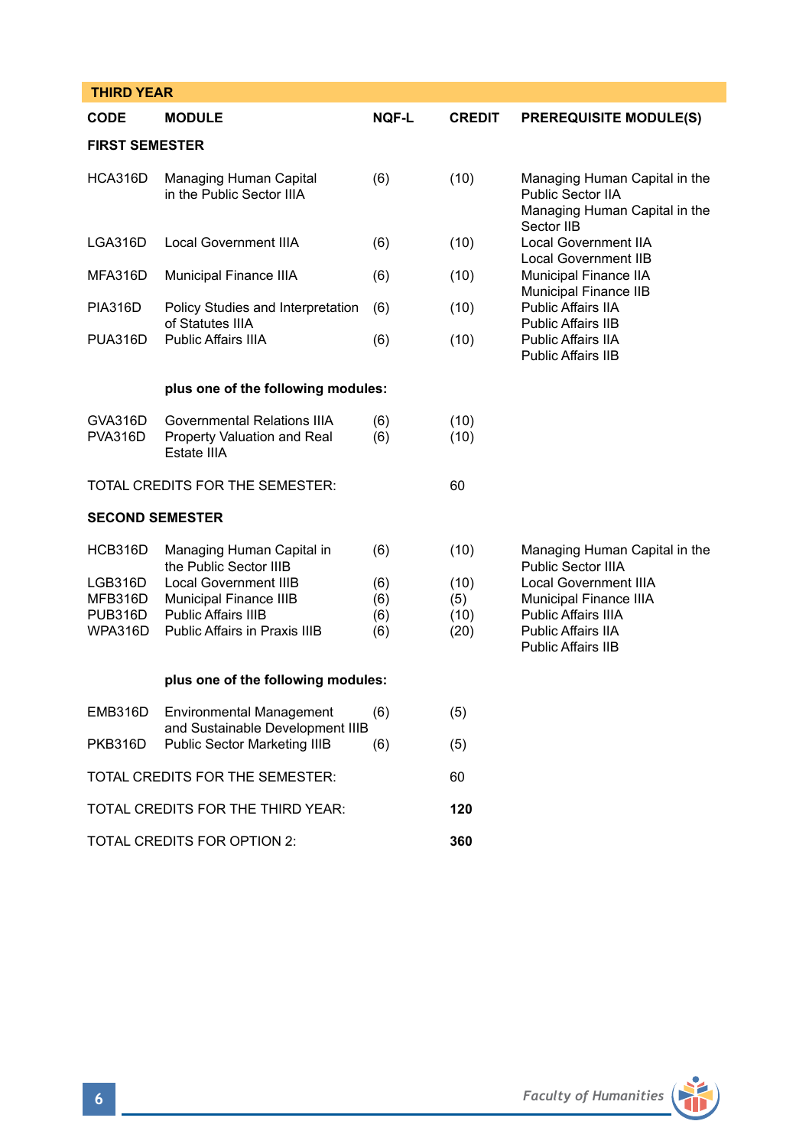| <b>THIRD YEAR</b>                               |                                                                                                                |                          |                             |                                                                                                                                         |  |
|-------------------------------------------------|----------------------------------------------------------------------------------------------------------------|--------------------------|-----------------------------|-----------------------------------------------------------------------------------------------------------------------------------------|--|
| <b>CODE</b>                                     | <b>MODULE</b>                                                                                                  | NOF-L                    | <b>CREDIT</b>               | <b>PREREQUISITE MODULE(S)</b>                                                                                                           |  |
| <b>FIRST SEMESTER</b>                           |                                                                                                                |                          |                             |                                                                                                                                         |  |
| HCA316D                                         | Managing Human Capital<br>in the Public Sector IIIA                                                            | (6)                      | (10)                        | Managing Human Capital in the<br>Public Sector IIA<br>Managing Human Capital in the<br>Sector IIB                                       |  |
| LGA316D                                         | <b>Local Government IIIA</b>                                                                                   | (6)                      | (10)                        | <b>Local Government IIA</b><br>Local Government IIB                                                                                     |  |
| MFA316D                                         | Municipal Finance IIIA                                                                                         | (6)                      | (10)                        | Municipal Finance IIA                                                                                                                   |  |
| <b>PIA316D</b>                                  | Policy Studies and Interpretation<br>of Statutes IIIA                                                          | (6)                      | (10)                        | Municipal Finance IIB<br>Public Affairs IIA<br><b>Public Affairs IIB</b>                                                                |  |
| PUA316D                                         | <b>Public Affairs IIIA</b>                                                                                     | (6)                      | (10)                        | <b>Public Affairs IIA</b><br>Public Affairs IIB                                                                                         |  |
|                                                 | plus one of the following modules:                                                                             |                          |                             |                                                                                                                                         |  |
| GVA316D<br><b>PVA316D</b>                       | Governmental Relations IIIA<br>Property Valuation and Real<br>Estate IIIA                                      | (6)<br>(6)               | (10)<br>(10)                |                                                                                                                                         |  |
|                                                 | TOTAL CREDITS FOR THE SEMESTER:                                                                                |                          | 60                          |                                                                                                                                         |  |
| <b>SECOND SEMESTER</b>                          |                                                                                                                |                          |                             |                                                                                                                                         |  |
| HCB316D                                         | Managing Human Capital in<br>the Public Sector IIIB                                                            | (6)                      | (10)                        | Managing Human Capital in the<br>Public Sector IIIA                                                                                     |  |
| LGB316D<br>MFB316D<br><b>PUB316D</b><br>WPA316D | <b>Local Government IIIB</b><br>Municipal Finance IIIB<br>Public Affairs IIIB<br>Public Affairs in Praxis IIIB | (6)<br>(6)<br>(6)<br>(6) | (10)<br>(5)<br>(10)<br>(20) | <b>Local Government IIIA</b><br>Municipal Finance IIIA<br><b>Public Affairs IIIA</b><br>Public Affairs IIA<br><b>Public Affairs IIB</b> |  |
| plus one of the following modules:              |                                                                                                                |                          |                             |                                                                                                                                         |  |
| EMB316D                                         | <b>Environmental Management</b>                                                                                | (6)                      | (5)                         |                                                                                                                                         |  |
| PKB316D                                         | and Sustainable Development IIIB<br>Public Sector Marketing IIIB                                               | (6)                      | (5)                         |                                                                                                                                         |  |
| TOTAL CREDITS FOR THE SEMESTER:                 |                                                                                                                |                          | 60                          |                                                                                                                                         |  |
| TOTAL CREDITS FOR THE THIRD YEAR:               |                                                                                                                |                          | 120                         |                                                                                                                                         |  |
| TOTAL CREDITS FOR OPTION 2:                     |                                                                                                                |                          | 360                         |                                                                                                                                         |  |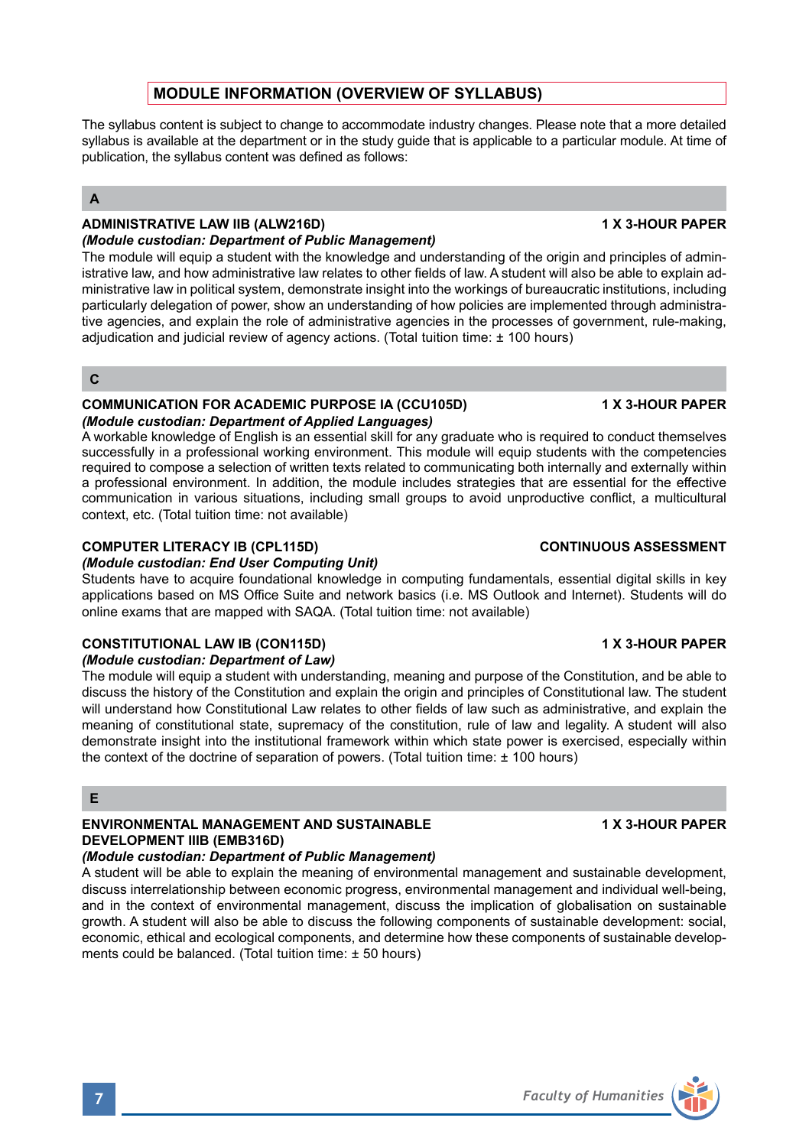# **MODULE INFORMATION (OVERVIEW OF SYLLABUS)**

The syllabus content is subject to change to accommodate industry changes. Please note that a more detailed syllabus is available at the department or in the study guide that is applicable to a particular module. At time of publication, the syllabus content was defined as follows:

# **A**

### ADMINISTRATIVE LAW IIB (ALW216D) **1 ADMINISTRATIVE LAW IIB** *(Module custodian: Department of Public Management)*

The module will equip a student with the knowledge and understanding of the origin and principles of administrative law, and how administrative law relates to other fields of law. A student will also be able to explain administrative law in political system, demonstrate insight into the workings of bureaucratic institutions, including particularly delegation of power, show an understanding of how policies are implemented through administrative agencies, and explain the role of administrative agencies in the processes of government, rule-making, adjudication and judicial review of agency actions. (Total tuition time: ± 100 hours)

**C**

### l **COMMUNICATION FOR ACADEMIC PURPOSE IA (CCU105D) 1 X 3-HOUR PAPER** *(Module custodian: Department of Applied Languages)*

A workable knowledge of English is an essential skill for any graduate who is required to conduct themselves successfully in a professional working environment. This module will equip students with the competencies required to compose a selection of written texts related to communicating both internally and externally within a professional environment. In addition, the module includes strategies that are essential for the effective communication in various situations, including small groups to avoid unproductive conflict, a multicultural context, etc. (Total tuition time: not available)

# **COMPUTER LITERACY IB (CPL115D) CONTINUOUS ASSESSMENT**

# *(Module custodian: End User Computing Unit)*

Students have to acquire foundational knowledge in computing fundamentals, essential digital skills in key applications based on MS Office Suite and network basics (i.e. MS Outlook and Internet). Students will do online exams that are mapped with SAQA. (Total tuition time: not available)

# **CONSTITUTIONAL LAW IB (CON115D)** 1 X 3-HOUR PAPER

# *(Module custodian: Department of Law)*

The module will equip a student with understanding, meaning and purpose of the Constitution, and be able to discuss the history of the Constitution and explain the origin and principles of Constitutional law. The student will understand how Constitutional Law relates to other fields of law such as administrative, and explain the meaning of constitutional state, supremacy of the constitution, rule of law and legality. A student will also demonstrate insight into the institutional framework within which state power is exercised, especially within the context of the doctrine of separation of powers. (Total tuition time: ± 100 hours)

# **E**

# **ENVIRONMENTAL MANAGEMENT AND SUSTAINABLE 1 X 3-HOUR PAPER DEVELOPMENT IIIB (EMB316D)**

# *(Module custodian: Department of Public Management)*

A student will be able to explain the meaning of environmental management and sustainable development, discuss interrelationship between economic progress, environmental management and individual well-being, and in the context of environmental management, discuss the implication of globalisation on sustainable growth. A student will also be able to discuss the following components of sustainable development: social, economic, ethical and ecological components, and determine how these components of sustainable developments could be balanced. (Total tuition time: ± 50 hours)





**7** *Faculty of Humanities*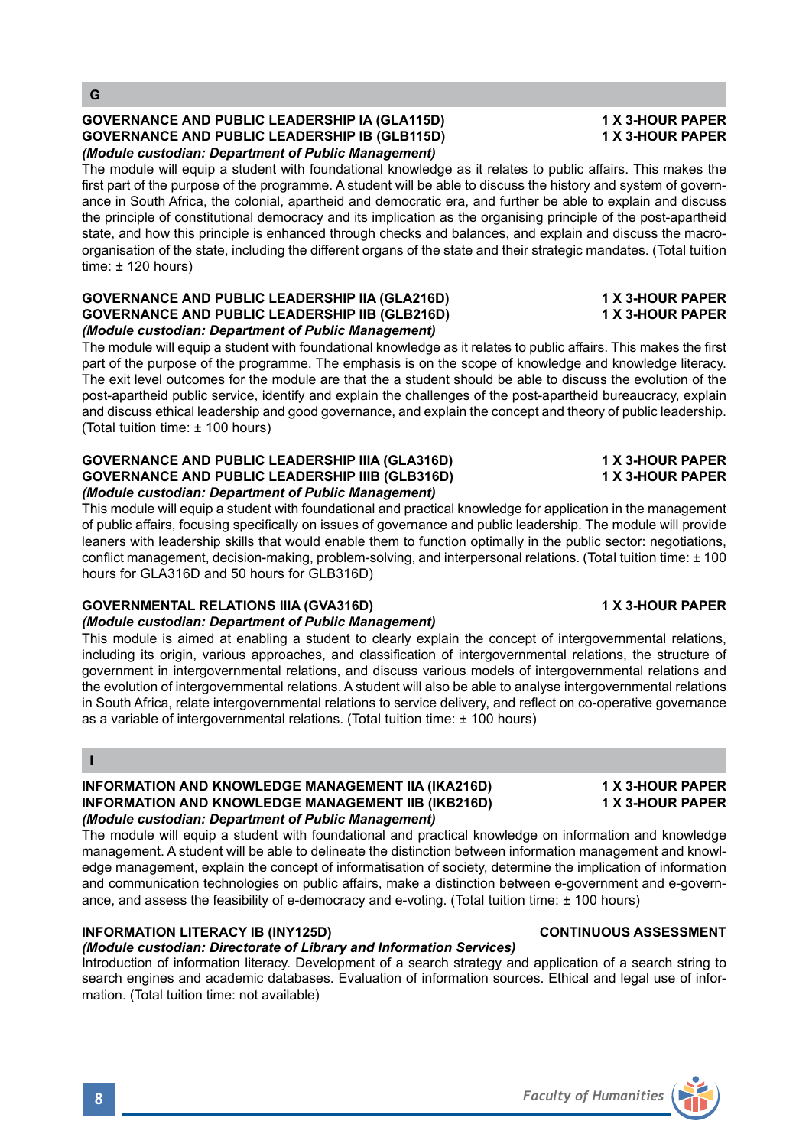## **GOVERNANCE AND PUBLIC LEADERSHIP IA (GLA115D) 1 X 3-HOUR PAPER GOVERNANCE AND PUBLIC LEADERSHIP IB (GLB115D)** *(Module custodian: Department of Public Management)*

The module will equip a student with foundational knowledge as it relates to public affairs. This makes the first part of the purpose of the programme. A student will be able to discuss the history and system of governance in South Africa, the colonial, apartheid and democratic era, and further be able to explain and discuss the principle of constitutional democracy and its implication as the organising principle of the post-apartheid state, and how this principle is enhanced through checks and balances, and explain and discuss the macroorganisation of the state, including the different organs of the state and their strategic mandates. (Total tuition time: ± 120 hours)

### **GOVERNANCE AND PUBLIC LEADERSHIP IIA (GLA216D) 1 X 3-HOUR PAPER GOVERNANCE AND PUBLIC LEADERSHIP IIB (GLB216D)** *(Module custodian: Department of Public Management)*

The module will equip a student with foundational knowledge as it relates to public affairs. This makes the first part of the purpose of the programme. The emphasis is on the scope of knowledge and knowledge literacy. The exit level outcomes for the module are that the a student should be able to discuss the evolution of the post-apartheid public service, identify and explain the challenges of the post-apartheid bureaucracy, explain and discuss ethical leadership and good governance, and explain the concept and theory of public leadership. (Total tuition time: ± 100 hours)

### **GOVERNANCE AND PUBLIC LEADERSHIP IIIA (GLA316D) 1 X 3-HOUR PAPER GOVERNANCE AND PUBLIC LEADERSHIP IIIB (GLB316D)** *(Module custodian: Department of Public Management)*

This module will equip a student with foundational and practical knowledge for application in the management of public affairs, focusing specifically on issues of governance and public leadership. The module will provide leaners with leadership skills that would enable them to function optimally in the public sector: negotiations, conflict management, decision-making, problem-solving, and interpersonal relations. (Total tuition time: ± 100 hours for GLA316D and 50 hours for GLB316D)

# **GOVERNMENTAL RELATIONS IIIA (GVA316D) 1 X 3-HOUR PAPER**

# *(Module custodian: Department of Public Management)*

This module is aimed at enabling a student to clearly explain the concept of intergovernmental relations, including its origin, various approaches, and classification of intergovernmental relations, the structure of government in intergovernmental relations, and discuss various models of intergovernmental relations and the evolution of intergovernmental relations. A student will also be able to analyse intergovernmental relations in South Africa, relate intergovernmental relations to service delivery, and reflect on co-operative governance as a variable of intergovernmental relations. (Total tuition time: ± 100 hours)

# **I**

### **INFORMATION AND KNOWLEDGE MANAGEMENT IIA (IKA216D) 1 X 3-HOUR PAPER<br>INFORMATION AND KNOWLEDGE MANAGEMENT IIB (IKB216D) 1 X 3-HOUR PAPER INFORMATION AND KNOWLEDGE MANAGEMENT IIB (IKB216D)** *(Module custodian: Department of Public Management)*

The module will equip a student with foundational and practical knowledge on information and knowledge management. A student will be able to delineate the distinction between information management and knowledge management, explain the concept of informatisation of society, determine the implication of information and communication technologies on public affairs, make a distinction between e-government and e-governance, and assess the feasibility of e-democracy and e-voting. (Total tuition time: ± 100 hours)

# **INFORMATION LITERACY IB (INY125D)** CONTINUOUS ASSESSMENT

# *(Module custodian: Directorate of Library and Information Services)*

Introduction of information literacy. Development of a search strategy and application of a search string to search engines and academic databases. Evaluation of information sources. Ethical and legal use of information. (Total tuition time: not available)

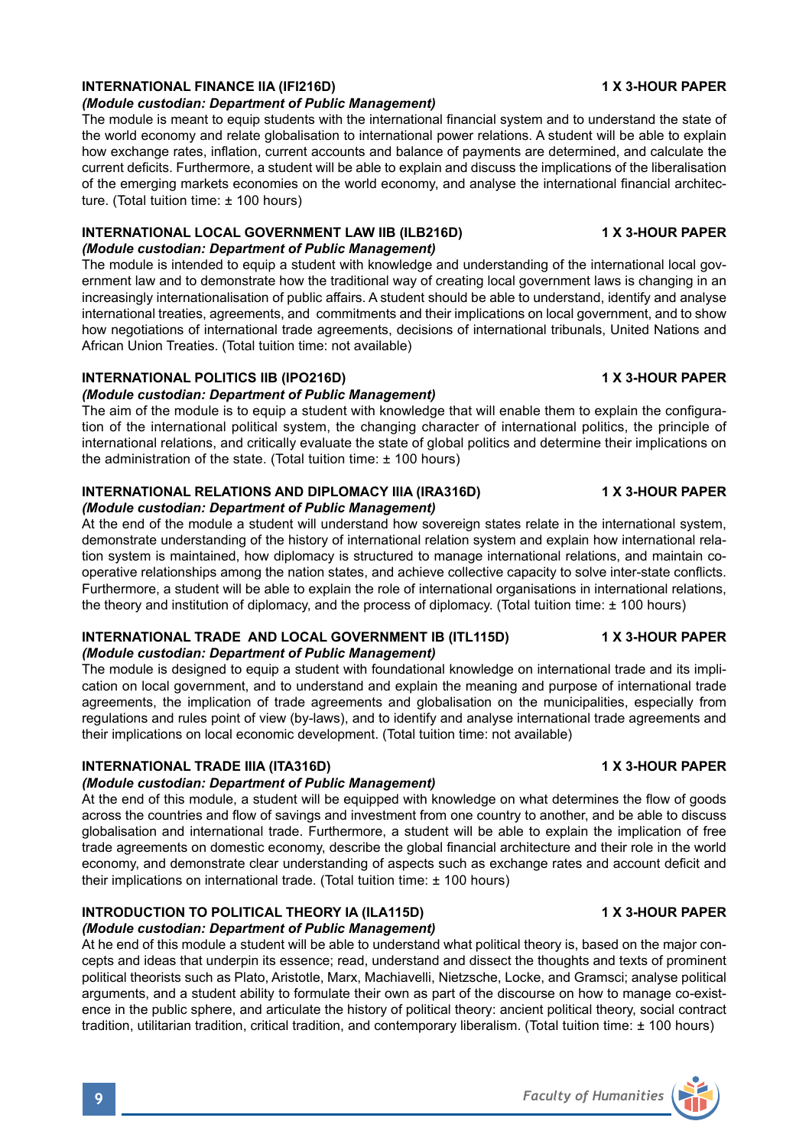# **INTERNATIONAL FINANCE IIA (IFI216D)** 1 X 3-HOUR PAPER

### *(Module custodian: Department of Public Management)*

The module is meant to equip students with the international financial system and to understand the state of the world economy and relate globalisation to international power relations. A student will be able to explain how exchange rates, inflation, current accounts and balance of payments are determined, and calculate the current deficits. Furthermore, a student will be able to explain and discuss the implications of the liberalisation of the emerging markets economies on the world economy, and analyse the international financial architecture. (Total tuition time: ± 100 hours)

# **INTERNATIONAL LOCAL GOVERNMENT LAW IIB (ILB216D) 4 X 3-HOUR PAPER**

## *(Module custodian: Department of Public Management)*

The module is intended to equip a student with knowledge and understanding of the international local government law and to demonstrate how the traditional way of creating local government laws is changing in an increasingly internationalisation of public affairs. A student should be able to understand, identify and analyse international treaties, agreements, and commitments and their implications on local government, and to show how negotiations of international trade agreements, decisions of international tribunals, United Nations and African Union Treaties. (Total tuition time: not available)

## **INTERNATIONAL POLITICS IIB (IPO216D)** 1 A 3-HOUR PAPER

# *(Module custodian: Department of Public Management)*

The aim of the module is to equip a student with knowledge that will enable them to explain the configuration of the international political system, the changing character of international politics, the principle of international relations, and critically evaluate the state of global politics and determine their implications on the administration of the state. (Total tuition time: ± 100 hours)

# **INTERNATIONAL RELATIONS AND DIPLOMACY IIIA (IRA316D) 1 X 3-HOUR PAPER**

### *(Module custodian: Department of Public Management)*

At the end of the module a student will understand how sovereign states relate in the international system, demonstrate understanding of the history of international relation system and explain how international relation system is maintained, how diplomacy is structured to manage international relations, and maintain cooperative relationships among the nation states, and achieve collective capacity to solve inter-state conflicts. Furthermore, a student will be able to explain the role of international organisations in international relations, the theory and institution of diplomacy, and the process of diplomacy. (Total tuition time: ± 100 hours)

# **INTERNATIONAL TRADE AND LOCAL GOVERNMENT IB (ITL115D) 4 X 3-HOUR PAPER**

# *(Module custodian: Department of Public Management)*

The module is designed to equip a student with foundational knowledge on international trade and its implication on local government, and to understand and explain the meaning and purpose of international trade agreements, the implication of trade agreements and globalisation on the municipalities, especially from regulations and rules point of view (by-laws), and to identify and analyse international trade agreements and their implications on local economic development. (Total tuition time: not available)

# **INTERNATIONAL TRADE IIIA (ITA316D)** 1 X 3-HOUR PAPER

# *(Module custodian: Department of Public Management)*

At the end of this module, a student will be equipped with knowledge on what determines the flow of goods across the countries and flow of savings and investment from one country to another, and be able to discuss globalisation and international trade. Furthermore, a student will be able to explain the implication of free trade agreements on domestic economy, describe the global financial architecture and their role in the world economy, and demonstrate clear understanding of aspects such as exchange rates and account deficit and their implications on international trade. (Total tuition time: ± 100 hours)

# **INTRODUCTION TO POLITICAL THEORY IA (ILA115D) 4X 3-HOUR PAPER**

# *(Module custodian: Department of Public Management)*

At he end of this module a student will be able to understand what political theory is, based on the major concepts and ideas that underpin its essence; read, understand and dissect the thoughts and texts of prominent political theorists such as Plato, Aristotle, Marx, Machiavelli, Nietzsche, Locke, and Gramsci; analyse political arguments, and a student ability to formulate their own as part of the discourse on how to manage co-existence in the public sphere, and articulate the history of political theory: ancient political theory, social contract tradition, utilitarian tradition, critical tradition, and contemporary liberalism. (Total tuition time: ± 100 hours)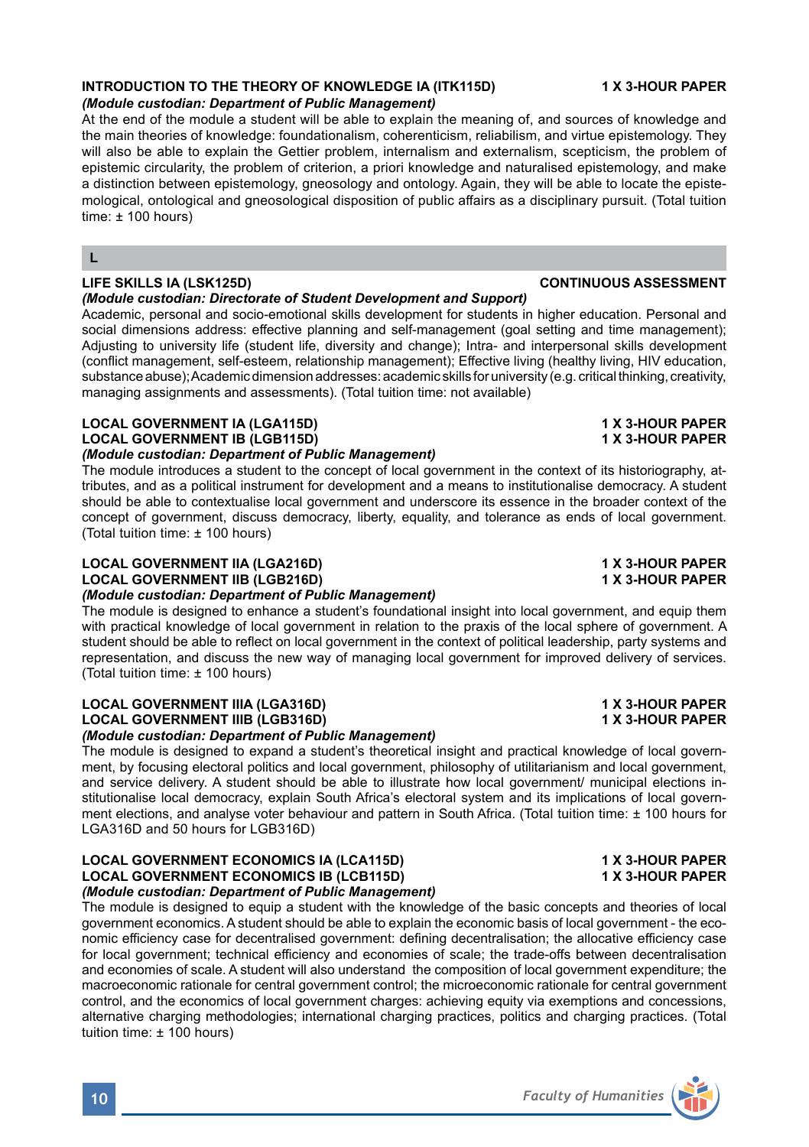# **INTRODUCTION TO THE THEORY OF KNOWLEDGE IA (ITK115D) 4X 3-HOUR PAPER**

# *(Module custodian: Department of Public Management)*

At the end of the module a student will be able to explain the meaning of, and sources of knowledge and the main theories of knowledge: foundationalism, coherenticism, reliabilism, and virtue epistemology. They will also be able to explain the Gettier problem, internalism and externalism, scepticism, the problem of epistemic circularity, the problem of criterion, a priori knowledge and naturalised epistemology, and make a distinction between epistemology, gneosology and ontology. Again, they will be able to locate the epistemological, ontological and gneosological disposition of public affairs as a disciplinary pursuit. (Total tuition time:  $\pm$  100 hours)

### **L**

## **LIFE SKILLS IA (LSK125D) CONTINUOUS ASSESSMENT**

### *(Module custodian: Directorate of Student Development and Support)*

Academic, personal and socio-emotional skills development for students in higher education. Personal and social dimensions address: effective planning and self-management (goal setting and time management); Adjusting to university life (student life, diversity and change); Intra- and interpersonal skills development (conflict management, self-esteem, relationship management); Effective living (healthy living, HIV education, substance abuse); Academic dimension addresses: academic skills for university (e.g. critical thinking, creativity, managing assignments and assessments). (Total tuition time: not available)

# **LOCAL GOVERNMENT IA (LGA115D) 1 X 3-HOUR PAPER LOCAL GOVERNMENT IB (LGB115D)**

### *(Module custodian: Department of Public Management)*

The module introduces a student to the concept of local government in the context of its historiography, attributes, and as a political instrument for development and a means to institutionalise democracy. A student should be able to contextualise local government and underscore its essence in the broader context of the concept of government, discuss democracy, liberty, equality, and tolerance as ends of local government. (Total tuition time: ± 100 hours)

### LOCAL GOVERNMENT IIA (LGA216D)<br>
LOCAL GOVERNMENT IIB (LGB216D)<br>
1 X 3-HOUR PAPER **LOCAL GOVERNMENT IIB (LGB216D)** *(Module custodian: Department of Public Management)*

The module is designed to enhance a student's foundational insight into local government, and equip them with practical knowledge of local government in relation to the praxis of the local sphere of government. A student should be able to reflect on local government in the context of political leadership, party systems and representation, and discuss the new way of managing local government for improved delivery of services. (Total tuition time: ± 100 hours)

### **LOCAL GOVERNMENT IIIA (LGA316D) 1 X 3-HOUR PAPER LOCAL GOVERNMENT IIIB (LGB316D)** *(Module custodian: Department of Public Management)*

The module is designed to expand a student's theoretical insight and practical knowledge of local government, by focusing electoral politics and local government, philosophy of utilitarianism and local government, and service delivery. A student should be able to illustrate how local government/ municipal elections institutionalise local democracy, explain South Africa's electoral system and its implications of local government elections, and analyse voter behaviour and pattern in South Africa. (Total tuition time: ± 100 hours for LGA316D and 50 hours for LGB316D)

### LOCAL GOVERNMENT ECONOMICS IA (LCA115D) **1 X 3-HOUR PAPER**<br>LOCAL GOVERNMENT ECONOMICS IB (LCB115D) 1 X 3-HOUR PAPER **LOCAL GOVERNMENT ECONOMICS IB (LCB115D)** *(Module custodian: Department of Public Management)*

The module is designed to equip a student with the knowledge of the basic concepts and theories of local government economics. A student should be able to explain the economic basis of local government - the economic efficiency case for decentralised government: defining decentralisation; the allocative efficiency case for local government; technical efficiency and economies of scale; the trade-offs between decentralisation and economies of scale. A student will also understand the composition of local government expenditure; the macroeconomic rationale for central government control; the microeconomic rationale for central government control, and the economics of local government charges: achieving equity via exemptions and concessions, alternative charging methodologies; international charging practices, politics and charging practices. (Total tuition time: ± 100 hours)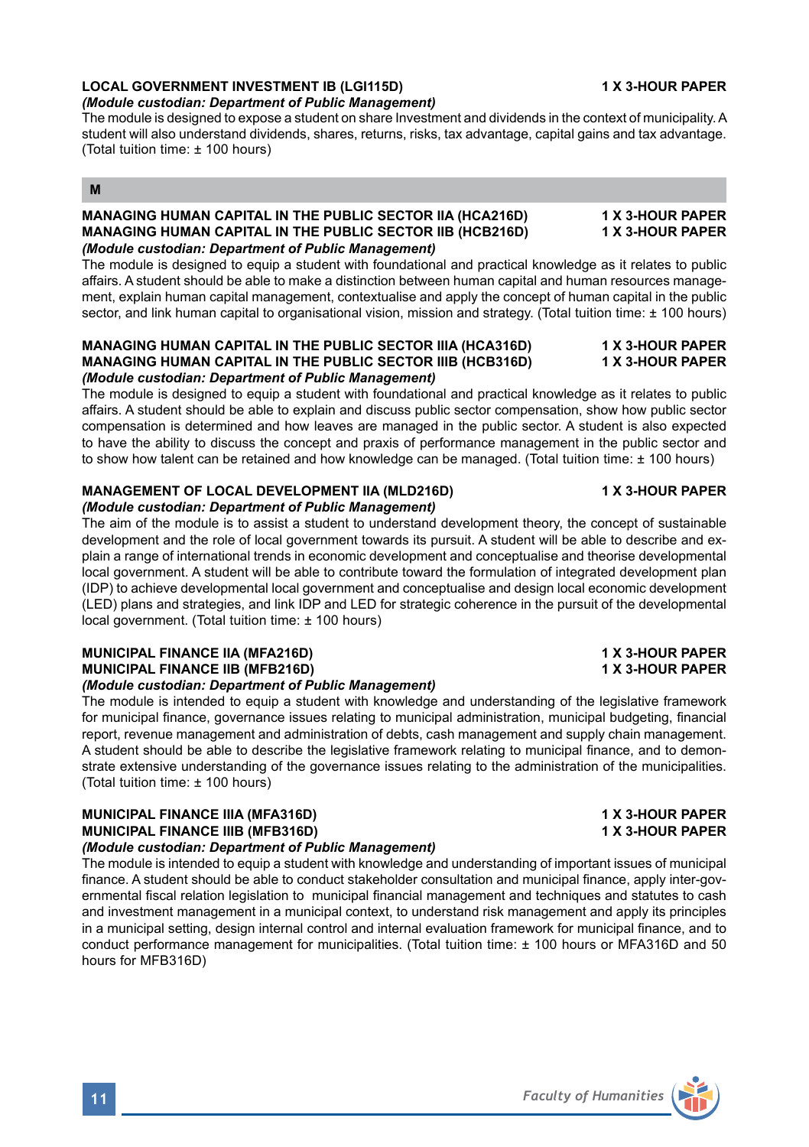# **LOCAL GOVERNMENT INVESTMENT IB (LGI115D) 1 X 3-HOUR PAPER**

### *(Module custodian: Department of Public Management)*

The module is designed to expose a student on share Investment and dividends in the context of municipality. A student will also understand dividends, shares, returns, risks, tax advantage, capital gains and tax advantage. (Total tuition time: ± 100 hours)

## **M**

## MANAGING HUMAN CAPITAL IN THE PUBLIC SECTOR IIA (HCA216D) **1 X 3-HOUR PAPER**<br>MANAGING HUMAN CAPITAL IN THE PUBLIC SECTOR IIB (HCB216D) 1 X 3-HOUR PAPER **MANAGING HUMAN CAPITAL IN THE PUBLIC SECTOR IIB (HCB216D)** *(Module custodian: Department of Public Management)*

The module is designed to equip a student with foundational and practical knowledge as it relates to public affairs. A student should be able to make a distinction between human capital and human resources management, explain human capital management, contextualise and apply the concept of human capital in the public sector, and link human capital to organisational vision, mission and strategy. (Total tuition time: ± 100 hours)

### **MANAGING HUMAN CAPITAL IN THE PUBLIC SECTOR IIIA (HCA316D) 1 X 3-HOUR PAPER MANAGING HUMAN CAPITAL IN THE PUBLIC SECTOR IIIB (HCB316D)** *(Module custodian: Department of Public Management)*

The module is designed to equip a student with foundational and practical knowledge as it relates to public affairs. A student should be able to explain and discuss public sector compensation, show how public sector compensation is determined and how leaves are managed in the public sector. A student is also expected to have the ability to discuss the concept and praxis of performance management in the public sector and to show how talent can be retained and how knowledge can be managed. (Total tuition time: ± 100 hours)

# **MANAGEMENT OF LOCAL DEVELOPMENT IIA (MLD216D) 4 A 3-HOUR PAPER**

### *(Module custodian: Department of Public Management)*

The aim of the module is to assist a student to understand development theory, the concept of sustainable development and the role of local government towards its pursuit. A student will be able to describe and explain a range of international trends in economic development and conceptualise and theorise developmental local government. A student will be able to contribute toward the formulation of integrated development plan (IDP) to achieve developmental local government and conceptualise and design local economic development (LED) plans and strategies, and link IDP and LED for strategic coherence in the pursuit of the developmental local government. (Total tuition time: ± 100 hours)

### **MUNICIPAL FINANCE IIA (MFA216D) 1 X 3-HOUR PAPER MUNICIPAL FINANCE IIB (MFB216D)** *(Module custodian: Department of Public Management)*

The module is intended to equip a student with knowledge and understanding of the legislative framework for municipal finance, governance issues relating to municipal administration, municipal budgeting, financial report, revenue management and administration of debts, cash management and supply chain management. A student should be able to describe the legislative framework relating to municipal finance, and to demonstrate extensive understanding of the governance issues relating to the administration of the municipalities. (Total tuition time: ± 100 hours)

# **MUNICIPAL FINANCE IIIA (MFA316D) 1 X 3-HOUR PAPER MUNICIPAL FINANCE IIIB (MFB316D)**

# *(Module custodian: Department of Public Management)*

The module is intended to equip a student with knowledge and understanding of important issues of municipal finance. A student should be able to conduct stakeholder consultation and municipal finance, apply inter-governmental fiscal relation legislation to municipal financial management and techniques and statutes to cash and investment management in a municipal context, to understand risk management and apply its principles in a municipal setting, design internal control and internal evaluation framework for municipal finance, and to conduct performance management for municipalities. (Total tuition time: ± 100 hours or MFA316D and 50 hours for MFB316D)

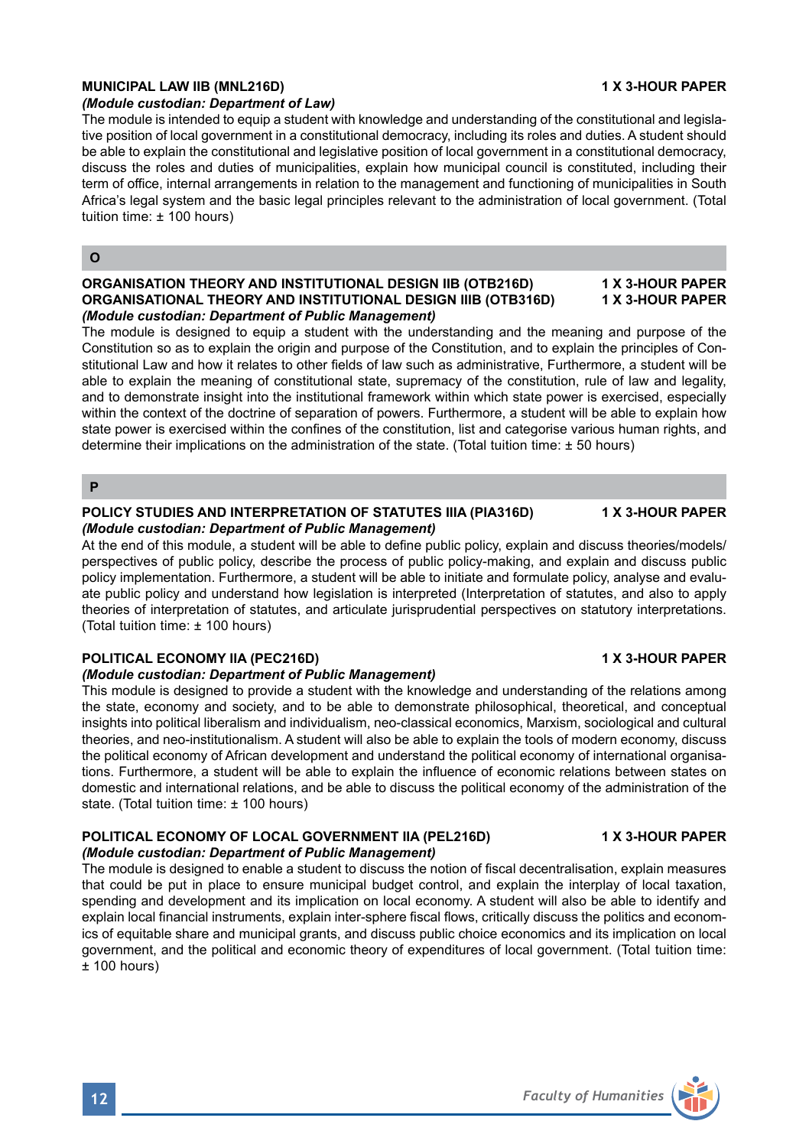## MUNICIPAL LAW IIB (MNL216D) **1X 3-HOUR PAPER**

### *(Module custodian: Department of Law)*

The module is intended to equip a student with knowledge and understanding of the constitutional and legislative position of local government in a constitutional democracy, including its roles and duties. A student should be able to explain the constitutional and legislative position of local government in a constitutional democracy, discuss the roles and duties of municipalities, explain how municipal council is constituted, including their term of office, internal arrangements in relation to the management and functioning of municipalities in South Africa's legal system and the basic legal principles relevant to the administration of local government. (Total tuition time: ± 100 hours)

### **O**

### **ORGANISATION THEORY AND INSTITUTIONAL DESIGN IIB (OTB216D) 1 X 3-HOUR PAPER ORGANISATIONAL THEORY AND INSTITUTIONAL DESIGN IIIB (OTB316D)** *(Module custodian: Department of Public Management)*

The module is designed to equip a student with the understanding and the meaning and purpose of the Constitution so as to explain the origin and purpose of the Constitution, and to explain the principles of Constitutional Law and how it relates to other fields of law such as administrative, Furthermore, a student will be able to explain the meaning of constitutional state, supremacy of the constitution, rule of law and legality, and to demonstrate insight into the institutional framework within which state power is exercised, especially within the context of the doctrine of separation of powers. Furthermore, a student will be able to explain how state power is exercised within the confines of the constitution, list and categorise various human rights, and determine their implications on the administration of the state. (Total tuition time: ± 50 hours)

### **P**

### **POLICY STUDIES AND INTERPRETATION OF STATUTES IIIA (PIA316D) 1 X 3-HOUR PAPER** *(Module custodian: Department of Public Management)*

At the end of this module, a student will be able to define public policy, explain and discuss theories/models/ perspectives of public policy, describe the process of public policy-making, and explain and discuss public policy implementation. Furthermore, a student will be able to initiate and formulate policy, analyse and evaluate public policy and understand how legislation is interpreted (Interpretation of statutes, and also to apply theories of interpretation of statutes, and articulate jurisprudential perspectives on statutory interpretations. (Total tuition time: ± 100 hours)

### **POLITICAL ECONOMY IIA (PEC216D)** 1 X 3-HOUR PAPER

### *(Module custodian: Department of Public Management)*

This module is designed to provide a student with the knowledge and understanding of the relations among the state, economy and society, and to be able to demonstrate philosophical, theoretical, and conceptual insights into political liberalism and individualism, neo-classical economics, Marxism, sociological and cultural theories, and neo-institutionalism. A student will also be able to explain the tools of modern economy, discuss the political economy of African development and understand the political economy of international organisations. Furthermore, a student will be able to explain the influence of economic relations between states on domestic and international relations, and be able to discuss the political economy of the administration of the state. (Total tuition time: ± 100 hours)

### **POLITICAL ECONOMY OF LOCAL GOVERNMENT IIA (PEL216D) 4X 3-HOUR PAPER** *(Module custodian: Department of Public Management)*

The module is designed to enable a student to discuss the notion of fiscal decentralisation, explain measures that could be put in place to ensure municipal budget control, and explain the interplay of local taxation, spending and development and its implication on local economy. A student will also be able to identify and explain local financial instruments, explain inter-sphere fiscal flows, critically discuss the politics and economics of equitable share and municipal grants, and discuss public choice economics and its implication on local government, and the political and economic theory of expenditures of local government. (Total tuition time:  $±$  100 hours)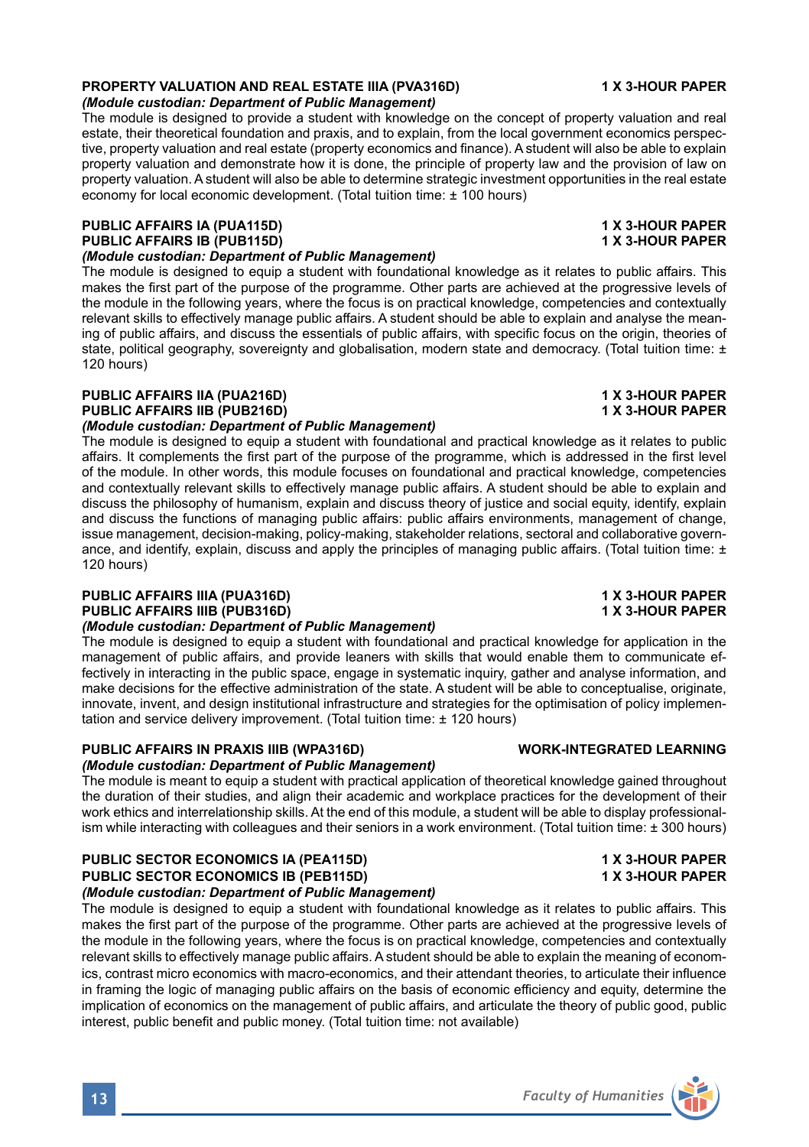### **PROPERTY VALUATION AND REAL ESTATE IIIA (PVA316D) 1 X 3-HOUR PAPER** *(Module custodian: Department of Public Management)*

The module is designed to provide a student with knowledge on the concept of property valuation and real estate, their theoretical foundation and praxis, and to explain, from the local government economics perspective, property valuation and real estate (property economics and finance). A student will also be able to explain property valuation and demonstrate how it is done, the principle of property law and the provision of law on property valuation. A student will also be able to determine strategic investment opportunities in the real estate economy for local economic development. (Total tuition time: ± 100 hours)

# **PUBLIC AFFAIRS IA (PUA115D) 1 X 3-HOUR PAPER PUBLIC AFFAIRS IB (PUB115D)**

*(Module custodian: Department of Public Management)*  The module is designed to equip a student with foundational knowledge as it relates to public affairs. This

makes the first part of the purpose of the programme. Other parts are achieved at the progressive levels of the module in the following years, where the focus is on practical knowledge, competencies and contextually relevant skills to effectively manage public affairs. A student should be able to explain and analyse the meaning of public affairs, and discuss the essentials of public affairs, with specific focus on the origin, theories of state, political geography, sovereignty and globalisation, modern state and democracy. (Total tuition time: ± 120 hours)

### **PUBLIC AFFAIRS IIA (PUA216D) 1 X 3-HOUR PAPER PUBLIC AFFAIRS IIB (PUB216D)** *(Module custodian: Department of Public Management)*

The module is designed to equip a student with foundational and practical knowledge as it relates to public affairs. It complements the first part of the purpose of the programme, which is addressed in the first level of the module. In other words, this module focuses on foundational and practical knowledge, competencies and contextually relevant skills to effectively manage public affairs. A student should be able to explain and discuss the philosophy of humanism, explain and discuss theory of justice and social equity, identify, explain and discuss the functions of managing public affairs: public affairs environments, management of change, issue management, decision-making, policy-making, stakeholder relations, sectoral and collaborative governance, and identify, explain, discuss and apply the principles of managing public affairs. (Total tuition time: ± 120 hours)

### **PUBLIC AFFAIRS IIIA (PUA316D) 1 X 3-HOUR PAPER PUBLIC AFFAIRS IIIB (PUB316D)**

## *(Module custodian: Department of Public Management)*

The module is designed to equip a student with foundational and practical knowledge for application in the management of public affairs, and provide leaners with skills that would enable them to communicate effectively in interacting in the public space, engage in systematic inquiry, gather and analyse information, and make decisions for the effective administration of the state. A student will be able to conceptualise, originate, innovate, invent, and design institutional infrastructure and strategies for the optimisation of policy implementation and service delivery improvement. (Total tuition time: ± 120 hours)

# **PUBLIC AFFAIRS IN PRAXIS IIIB (WPA316D) WORK-INTEGRATED LEARNING**

# *(Module custodian: Department of Public Management)*

The module is meant to equip a student with practical application of theoretical knowledge gained throughout the duration of their studies, and align their academic and workplace practices for the development of their work ethics and interrelationship skills. At the end of this module, a student will be able to display professionalism while interacting with colleagues and their seniors in a work environment. (Total tuition time: ± 300 hours)

### **PUBLIC SECTOR ECONOMICS IA (PEA115D) 1 X 3-HOUR PAPER PUBLIC SECTOR ECONOMICS IB (PEB115D)** *(Module custodian: Department of Public Management)*

The module is designed to equip a student with foundational knowledge as it relates to public affairs. This makes the first part of the purpose of the programme. Other parts are achieved at the progressive levels of the module in the following years, where the focus is on practical knowledge, competencies and contextually relevant skills to effectively manage public affairs. A student should be able to explain the meaning of economics, contrast micro economics with macro-economics, and their attendant theories, to articulate their influence in framing the logic of managing public affairs on the basis of economic efficiency and equity, determine the implication of economics on the management of public affairs, and articulate the theory of public good, public interest, public benefit and public money. (Total tuition time: not available)